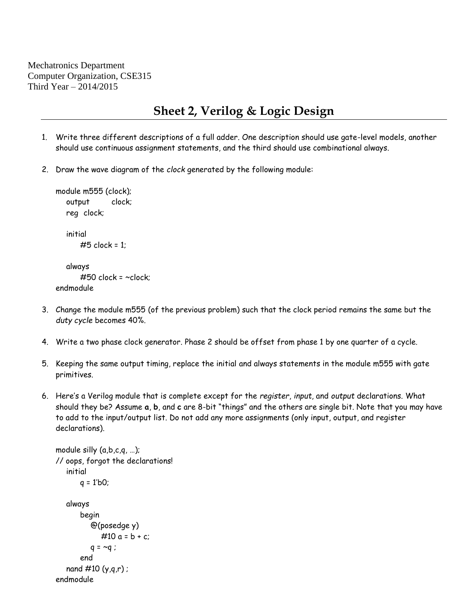Mechatronics Department Computer Organization, CSE315 Third Year – 2014/2015

## **Sheet 2, Verilog & Logic Design**

- 1. Write three different descriptions of a full adder. One description should use gate-level models, another should use continuous assignment statements, and the third should use combinational always.
- 2. Draw the wave diagram of the *clock* generated by the following module:

```
module m555 (clock);
  output clock;
  reg clock;
  initial
      #5 clock = 1;
  always
      #50 clock = ~clock;
endmodule
```
- 3. Change the module m555 (of the previous problem) such that the clock period remains the same but the *duty cycle* becomes 40%.
- 4. Write a two phase clock generator. Phase 2 should be offset from phase 1 by one quarter of a cycle.
- 5. Keeping the same output timing, replace the initial and always statements in the module m555 with gate primitives.
- 6. Here's a Verilog module that is complete except for the *register*, *input*, and *output* declarations. What should they be? Assume **a**, **b**, and **c** are 8-bit "things" and the others are single bit. Note that you may have to add to the input/output list. Do not add any more assignments (only input, output, and register declarations).

```
module silly (a,b,c,q, …);
// oops, forgot the declarations!
   initial
       q = 1'b0;
   always
       begin
          @(posedge y)
             #10 a = b + c;q = \sim q;
       end
   nand \#10 (y,q,r) ;
endmodule
```